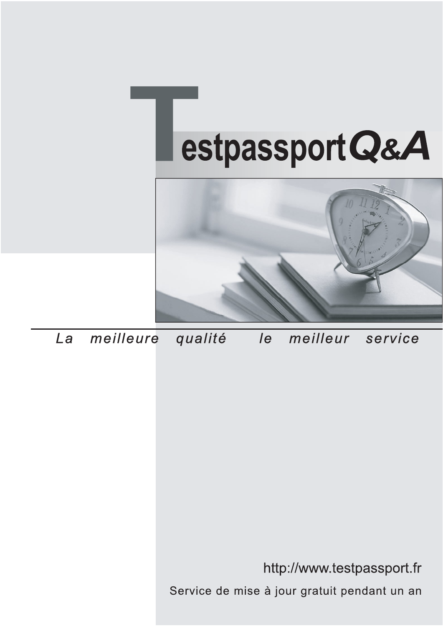



meilleure La qualité  $\overline{e}$ meilleur service

http://www.testpassport.fr

Service de mise à jour gratuit pendant un an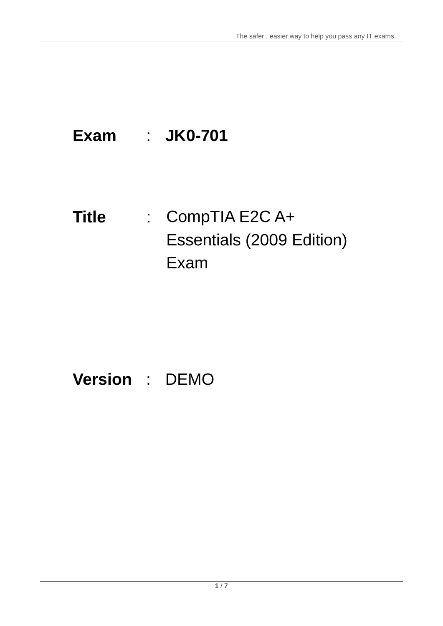## **Exam** : **JK0-701**

## **Title** : CompTIA E2C A+ Essentials (2009 Edition) Exam

## **Version** : DEMO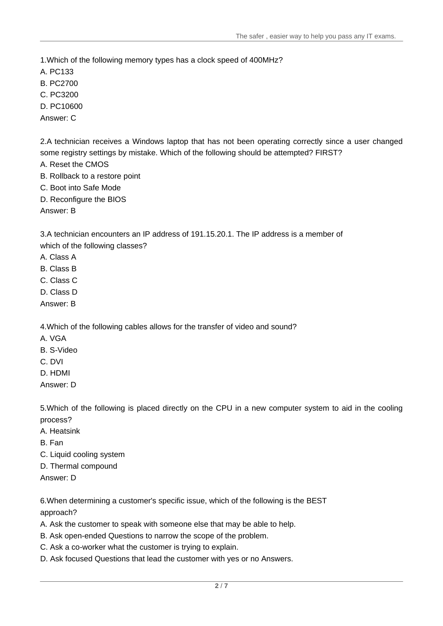1.Which of the following memory types has a clock speed of 400MHz?

- A. PC133
- B. PC2700
- C. PC3200
- D. PC10600
- Answer: C

2.A technician receives a Windows laptop that has not been operating correctly since a user changed some registry settings by mistake. Which of the following should be attempted? FIRST?

- A. Reset the CMOS
- B. Rollback to a restore point
- C. Boot into Safe Mode
- D. Reconfigure the BIOS

Answer: B

3.A technician encounters an IP address of 191.15.20.1. The IP address is a member of

- which of the following classes?
- A. Class A
- B. Class B
- C. Class C
- D. Class D
- Answer: B

4.Which of the following cables allows for the transfer of video and sound?

- A. VGA
- B. S-Video
- C. DVI
- D. HDMI
- Answer: D

5.Which of the following is placed directly on the CPU in a new computer system to aid in the cooling process? The contract of the contract of the contract of the contract of the contract of the contract of the contract of the contract of the contract of the contract of the contract of the contract of the contract of the c

- A. Heatsink
- B. Fan
- C. Liquid cooling system
- D. Thermal compound
- Answer: D

6.When determining a customer's specific issue, which of the following is the BEST approach?

- A. Ask the customer to speak with someone else that may be able to help.
- B. Ask open-ended Questions to narrow the scope of the problem.
- C. Ask a co-worker what the customer is trying to explain.
- D. Ask focused Questions that lead the customer with yes or no Answers.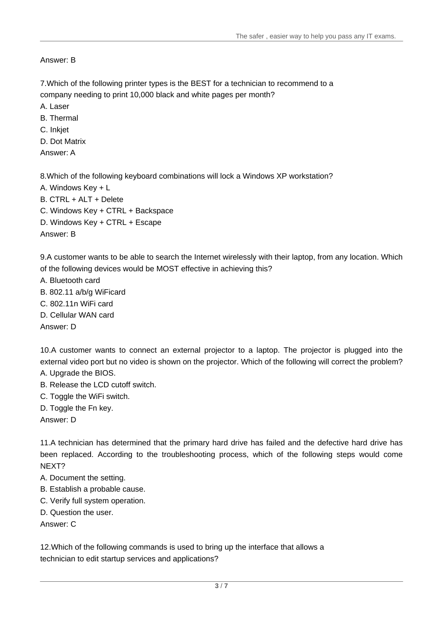Answer: B

7.Which of the following printer types is the BEST for a technician to recommend to a company needing to print 10,000 black and white pages per month?

- A. Laser
- B. Thermal
- C. Inkjet
- D. Dot Matrix
- Answer: A

8.Which of the following keyboard combinations will lock a Windows XP workstation?

- A. Windows Key + L
- B. CTRL + ALT + Delete
- C. Windows Key + CTRL + Backspace

D. Windows Key + CTRL + Escape

Answer: B

9.A customer wants to be able to search the Internet wirelessly with their laptop, from any location. Which of the following devices would be MOST effective in achieving this?

- A. Bluetooth card
- B. 802.11 a/b/g WiFicard
- C. 802.11n WiFi card
- D. Cellular WAN card

Answer: D

10.A customer wants to connect an external projector to a laptop. The projector is plugged into the external video port but no video is shown on the projector. Which of the following will correct the problem? A. Upgrade the BIOS.

- B. Release the LCD cutoff switch.
- C. Toggle the WiFi switch.
- D. Toggle the Fn key.

Answer: D

11.A technician has determined that the primary hard drive has failed and the defective hard drive has been replaced. According to the troubleshooting process, which of the following steps would come NEXT?

- A. Document the setting.
- B. Establish a probable cause.
- C. Verify full system operation.
- D. Question the user.

Answer: C

12.Which of the following commands is used to bring up the interface that allows a technician to edit startup services and applications?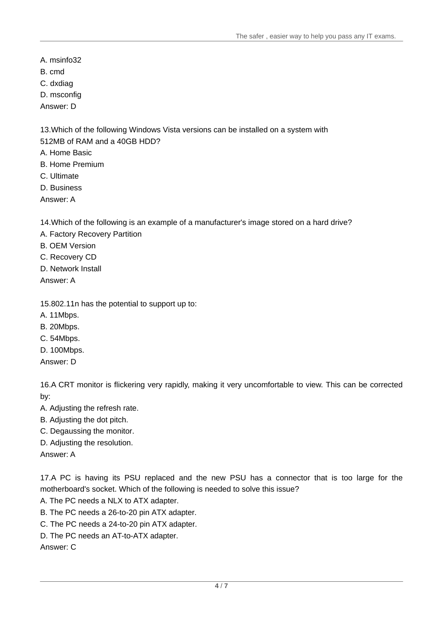- A. msinfo32
- B. cmd and the contract of the contract of the contract of the contract of the contract of the contract of the contract of the contract of the contract of the contract of the contract of the contract of the contract of the
- C. dxdiag
- D. msconfig
- Answer: D

13.Which of the following Windows Vista versions can be installed on a system with 512MB of RAM and a 40GB HDD?

- A. Home Basic
- B. Home Premium
- C. Ultimate
- D. Business
- Answer: A

14.Which of the following is an example of a manufacturer's image stored on a hard drive?

- A. Factory Recovery Partition
- B. OEM Version
- C. Recovery CD
- D. Network Install

Answer: A

15.802.11n has the potential to support up to:

- A. 11Mbps.
- B. 20Mbps.
- C. 54Mbps.
- D. 100Mbps.

Answer: D

16.A CRT monitor is flickering very rapidly, making it very uncomfortable to view. This can be corrected by:

- A. Adjusting the refresh rate.
- B. Adjusting the dot pitch.
- C. Degaussing the monitor.
- D. Adjusting the resolution.

Answer: A

17.A PC is having its PSU replaced and the new PSU has a connector that is too large for the motherboard's socket. Which of the following is needed to solve this issue?

- A. The PC needs a NLX to ATX adapter.
- B. The PC needs a 26-to-20 pin ATX adapter.
- C. The PC needs a 24-to-20 pin ATX adapter.
- D. The PC needs an AT-to-ATX adapter.

Answer: C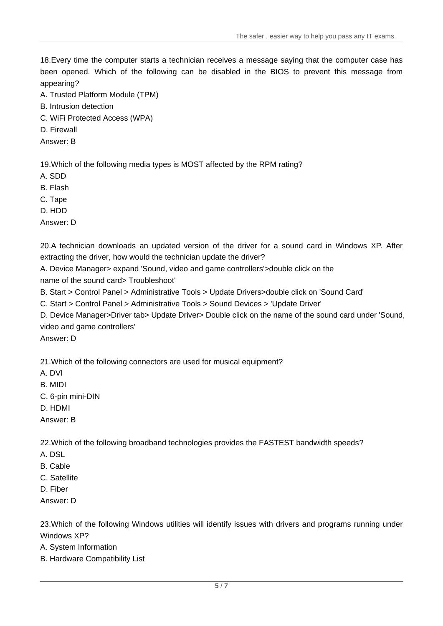The safer , easier way to help you pass any IT exams.

18.Every time the computer starts a technician receives a message saying that the computer case has been opened. Which of the following can be disabled in the BIOS to prevent this message from appearing?

- A. Trusted Platform Module (TPM)
- B. Intrusion detection
- C. WiFi Protected Access (WPA)
- D. Firewall
- Answer: B

19.Which of the following media types is MOST affected by the RPM rating?

- A. SDD
- B. Flash
- C. Tape
- D. HDD

Answer: D

20.A technician downloads an updated version of the driver for a sound card in Windows XP. After extracting the driver, how would the technician update the driver?

A. Device Manager> expand 'Sound, video and game controllers'>double click on the name of the sound card> Troubleshoot'

B. Start > Control Panel > Administrative Tools > Update Drivers>double click on 'Sound Card'

C. Start > Control Panel > Administrative Tools > Sound Devices > 'Update Driver'

D. Device Manager>Driver tab> Update Driver> Double click on the name of the sound card under 'Sound, video and game controllers'

Answer: D

21.Which of the following connectors are used for musical equipment?

- A. DVI
- B. MIDI AND THE CONTROL OF THE CONTROL OF THE CONTROL OF THE CONTROL OF THE CONTROL OF THE CONTROL OF THE CONTROL OF THE CONTROL OF THE CONTROL OF THE CONTROL OF THE CONTROL OF THE CONTROL OF THE CONTROL OF THE CONTROL OF
- C. 6-pin mini-DIN
- D. HDMI
- Answer: B

22.Which of the following broadband technologies provides the FASTEST bandwidth speeds?

- A. DSL
- B. Cable **B. Cable B. Cable B. Cable B. Cable B. Cable**
- C. Satellite
- D. Fiber
- Answer: D

23.Which of the following Windows utilities will identify issues with drivers and programs running under Windows XP?

A. System Information

B. Hardware Compatibility List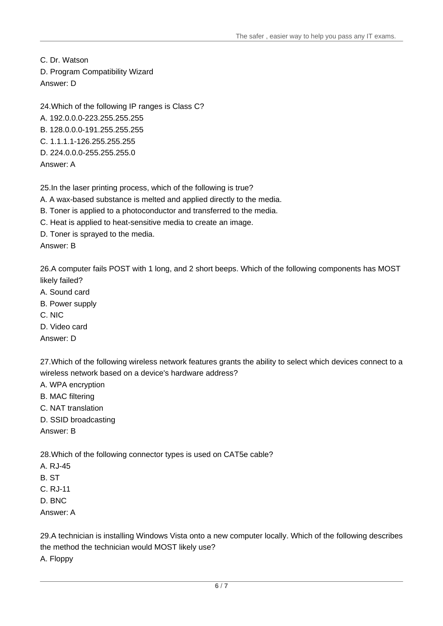C. Dr. Watson D. Program Compatibility Wizard Answer: D

24.Which of the following IP ranges is Class C? A. 192.0.0.0-223.255.255.255 B. 128.0.0.0-191.255.255.255 C. 1.1.1.1-126.255.255.255 D. 224.0.0.0-255.255.255.0 Answer: A

25.In the laser printing process, which of the following is true?

A. A wax-based substance is melted and applied directly to the media.

B. Toner is applied to a photoconductor and transferred to the media.

C. Heat is applied to heat-sensitive media to create an image.

D. Toner is sprayed to the media.

Answer: B

26.A computer fails POST with 1 long, and 2 short beeps. Which of the following components has MOST likely failed?

- A. Sound card
- B. Power supply
- C. NIC
- D. Video card

Answer: D

27.Which of the following wireless network features grants the ability to select which devices connect to a wireless network based on a device's hardware address?

- A. WPA encryption
- B. MAC filtering
- C. NAT translation
- D. SSID broadcasting

Answer: B

28.Which of the following connector types is used on CAT5e cable?

- A. RJ-45
- B. ST
- C. RJ-11
- D. BNC
- Answer: A

29.A technician is installing Windows Vista onto a new computer locally. Which of the following describes the method the technician would MOST likely use?

A. Floppy